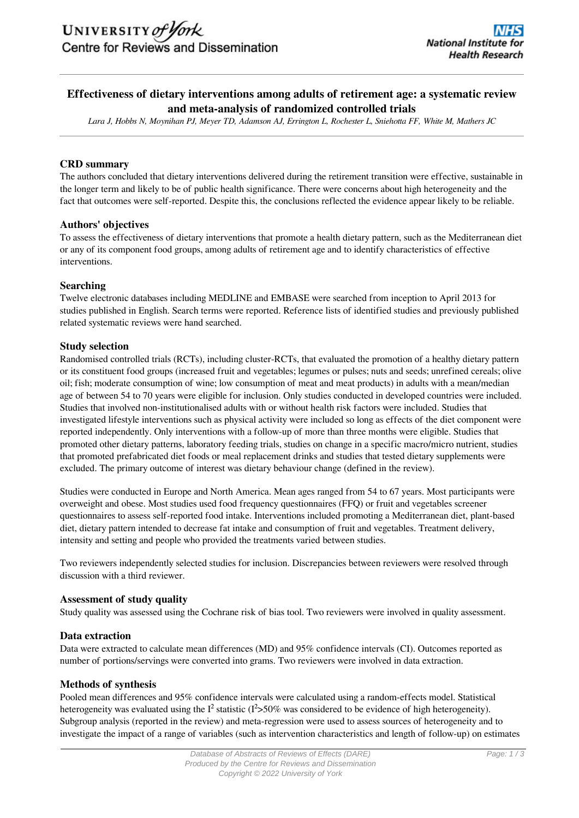# **Effectiveness of dietary interventions among adults of retirement age: a systematic review and meta-analysis of randomized controlled trials**

*Lara J, Hobbs N, Moynihan PJ, Meyer TD, Adamson AJ, Errington L, Rochester L, Sniehotta FF, White M, Mathers JC*

#### **CRD summary**

The authors concluded that dietary interventions delivered during the retirement transition were effective, sustainable in the longer term and likely to be of public health significance. There were concerns about high heterogeneity and the fact that outcomes were self-reported. Despite this, the conclusions reflected the evidence appear likely to be reliable.

#### **Authors' objectives**

To assess the effectiveness of dietary interventions that promote a health dietary pattern, such as the Mediterranean diet or any of its component food groups, among adults of retirement age and to identify characteristics of effective interventions.

#### **Searching**

Twelve electronic databases including MEDLINE and EMBASE were searched from inception to April 2013 for studies published in English. Search terms were reported. Reference lists of identified studies and previously published related systematic reviews were hand searched.

#### **Study selection**

Randomised controlled trials (RCTs), including cluster-RCTs, that evaluated the promotion of a healthy dietary pattern or its constituent food groups (increased fruit and vegetables; legumes or pulses; nuts and seeds; unrefined cereals; olive oil; fish; moderate consumption of wine; low consumption of meat and meat products) in adults with a mean/median age of between 54 to 70 years were eligible for inclusion. Only studies conducted in developed countries were included. Studies that involved non-institutionalised adults with or without health risk factors were included. Studies that investigated lifestyle interventions such as physical activity were included so long as effects of the diet component were reported independently. Only interventions with a follow-up of more than three months were eligible. Studies that promoted other dietary patterns, laboratory feeding trials, studies on change in a specific macro/micro nutrient, studies that promoted prefabricated diet foods or meal replacement drinks and studies that tested dietary supplements were excluded. The primary outcome of interest was dietary behaviour change (defined in the review).

Studies were conducted in Europe and North America. Mean ages ranged from 54 to 67 years. Most participants were overweight and obese. Most studies used food frequency questionnaires (FFQ) or fruit and vegetables screener questionnaires to assess self-reported food intake. Interventions included promoting a Mediterranean diet, plant-based diet, dietary pattern intended to decrease fat intake and consumption of fruit and vegetables. Treatment delivery, intensity and setting and people who provided the treatments varied between studies.

Two reviewers independently selected studies for inclusion. Discrepancies between reviewers were resolved through discussion with a third reviewer.

#### **Assessment of study quality**

Study quality was assessed using the Cochrane risk of bias tool. Two reviewers were involved in quality assessment.

#### **Data extraction**

Data were extracted to calculate mean differences (MD) and 95% confidence intervals (CI). Outcomes reported as number of portions/servings were converted into grams. Two reviewers were involved in data extraction.

#### **Methods of synthesis**

Pooled mean differences and 95% confidence intervals were calculated using a random-effects model. Statistical heterogeneity was evaluated using the  $I^2$  statistic ( $I^2$ >50% was considered to be evidence of high heterogeneity). Subgroup analysis (reported in the review) and meta-regression were used to assess sources of heterogeneity and to investigate the impact of a range of variables (such as intervention characteristics and length of follow-up) on estimates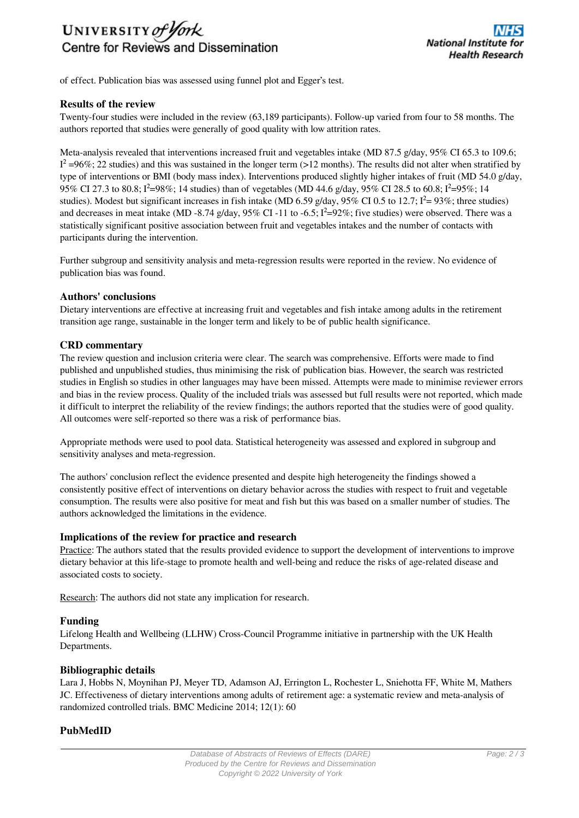

of effect. Publication bias was assessed using funnel plot and Egger's test.

#### **Results of the review**

Twenty-four studies were included in the review (63,189 participants). Follow-up varied from four to 58 months. The authors reported that studies were generally of good quality with low attrition rates.

Meta-analysis revealed that interventions increased fruit and vegetables intake (MD 87.5 g/day, 95% CI 65.3 to 109.6;  $I^2$  =96%; 22 studies) and this was sustained in the longer term (>12 months). The results did not alter when stratified by type of interventions or BMI (body mass index). Interventions produced slightly higher intakes of fruit (MD 54.0 g/day, 95% CI 27.3 to 80.8; I<sup>2</sup>=98%; 14 studies) than of vegetables (MD 44.6 g/day, 95% CI 28.5 to 60.8; I<sup>2</sup>=95%; 14 studies). Modest but significant increases in fish intake (MD 6.59 g/day, 95% CI 0.5 to 12.7;  $I^2 = 93\%$ ; three studies) and decreases in meat intake (MD -8.74 g/day,  $95\%$  CI -11 to -6.5;  $I^2=92\%$ ; five studies) were observed. There was a statistically significant positive association between fruit and vegetables intakes and the number of contacts with participants during the intervention.

Further subgroup and sensitivity analysis and meta-regression results were reported in the review. No evidence of publication bias was found.

#### **Authors' conclusions**

Dietary interventions are effective at increasing fruit and vegetables and fish intake among adults in the retirement transition age range, sustainable in the longer term and likely to be of public health significance.

#### **CRD commentary**

The review question and inclusion criteria were clear. The search was comprehensive. Efforts were made to find published and unpublished studies, thus minimising the risk of publication bias. However, the search was restricted studies in English so studies in other languages may have been missed. Attempts were made to minimise reviewer errors and bias in the review process. Quality of the included trials was assessed but full results were not reported, which made it difficult to interpret the reliability of the review findings; the authors reported that the studies were of good quality. All outcomes were self-reported so there was a risk of performance bias.

Appropriate methods were used to pool data. Statistical heterogeneity was assessed and explored in subgroup and sensitivity analyses and meta-regression.

The authors' conclusion reflect the evidence presented and despite high heterogeneity the findings showed a consistently positive effect of interventions on dietary behavior across the studies with respect to fruit and vegetable consumption. The results were also positive for meat and fish but this was based on a smaller number of studies. The authors acknowledged the limitations in the evidence.

#### **Implications of the review for practice and research**

Practice: The authors stated that the results provided evidence to support the development of interventions to improve dietary behavior at this life-stage to promote health and well-being and reduce the risks of age-related disease and associated costs to society.

Research: The authors did not state any implication for research.

#### **Funding**

Lifelong Health and Wellbeing (LLHW) Cross-Council Programme initiative in partnership with the UK Health Departments.

#### **Bibliographic details**

Lara J, Hobbs N, Moynihan PJ, Meyer TD, Adamson AJ, Errington L, Rochester L, Sniehotta FF, White M, Mathers JC. Effectiveness of dietary interventions among adults of retirement age: a systematic review and meta-analysis of randomized controlled trials. BMC Medicine 2014; 12(1): 60

#### **PubMedID**